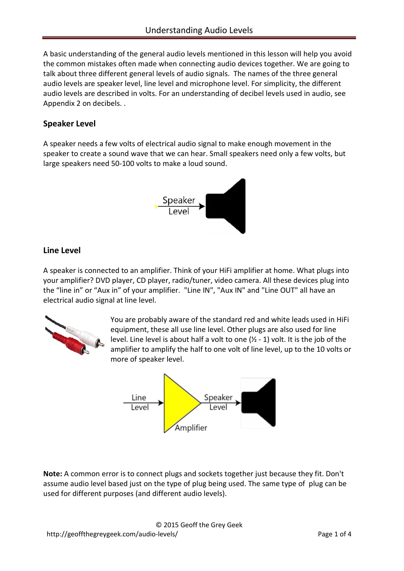A basic understanding of the general audio levels mentioned in this lesson will help you avoid the common mistakes often made when connecting audio devices together. We are going to talk about three different general levels of audio signals. The names of the three general audio levels are speaker level, line level and microphone level. For simplicity, the different audio levels are described in volts. For an understanding of decibel levels used in audio, see Appendix 2 on decibels. .

# **Speaker Level**

A speaker needs a few volts of electrical audio signal to make enough movement in the speaker to create a sound wave that we can hear. Small speakers need only a few volts, but large speakers need 50-100 volts to make a loud sound.



## **Line Level**

A speaker is connected to an amplifier. Think of your HiFi amplifier at home. What plugs into your amplifier? [DVD player,](http://www.amazon.com/s/ref=nb_sb_noss?url=search-alias%3Delectronics&field-keywords=dvd%2Bplayer) CD player, radio/tuner, video camera. All these devices plug into the "line in" or "Aux in" of your amplifier. "Line IN", "Aux IN" and "Line OUT" all have an electrical audio signal at line level.



You are probably aware of the standard red and white leads used in HiFi equipment, these all use line level. Other plugs are also used for line level. Line level is about half a volt to one (½ - 1) volt. It is the job of the amplifier to amplify the half to one volt of line level, up to the 10 volts or more of speaker level.



**Note:** A common error is to connect plugs and sockets together just because they fit. Don't assume audio level based just on the type of plug being used. The same type of plug can be used for different purposes (and different audio levels).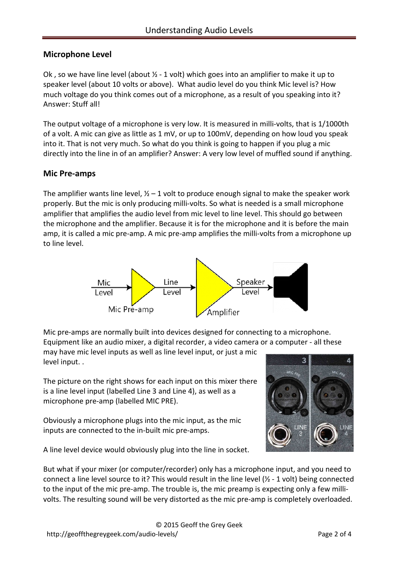## **Microphone Level**

Ok, so we have line level (about  $\frac{1}{2}$  - 1 volt) which goes into an amplifier to make it up to speaker level (about 10 volts or above). What audio level do you think Mic level is? How much voltage do you think comes out of a microphone, as a result of you speaking into it? Answer: Stuff all!

The output voltage of a microphone is very low. It is measured in milli-volts, that is 1/1000th of a volt. A mic can give as little as 1 mV, or up to 100mV, depending on how loud you speak into it. That is not very much. So what do you think is going to happen if you plug a mic directly into the line in of an amplifier? Answer: A very low level of muffled sound if anything.

### **Mic Pre-amps**

The amplifier wants line level,  $\frac{1}{2}$  – 1 volt to produce enough signal to make the speaker work properly. But the mic is only producing milli-volts. So what is needed is a small microphone amplifier that amplifies the audio level from mic level to line level. This should go between the microphone and the amplifier. Because it is for the microphone and it is before the main amp, it is called [a mic pre-amp.](http://rover.ebay.com/rover/1/711-53200-19255-0/1?type=2&campid=CAMPAIGNID&toolid=11000&customid=CUSTOMID&ext=120704228105&item=120704228105&ipn=psmain&icep_vectorid=229466&icep_ff3=2&icep_item=120704228105) A mic pre-amp amplifies the milli-volts from a microphone up to line level.



Mic pre-amps are normally built into devices designed for connecting to a microphone. Equipment like an audio mixer, a [digital recorder,](http://www.ebay.com/sch/Consumer-Electronics-/293/i.html?_nkw=digital+recorder) a video camera or a computer - all these may have mic level inputs as well as line level input, or just a mic level input. .

The picture on the right shows for each input on this mixer there is a line level input (labelled Line 3 and Line 4), as well as a microphone pre-amp (labelled MIC PRE).

Obviously a microphone plugs into the mic input, as the mic inputs are connected to the in-built mic pre-amps.



A line level device would obviously plug into the line in socket.

But what if your mixer (or computer/recorder) only has a microphone input, and you need to connect a line level source to it? This would result in the line level  $\frac{1}{2}$  - 1 volt) being connected to the input of the mic pre-amp. The trouble is, the mic preamp is expecting only a few millivolts. The resulting sound will be very distorted as the mic pre-amp is completely overloaded.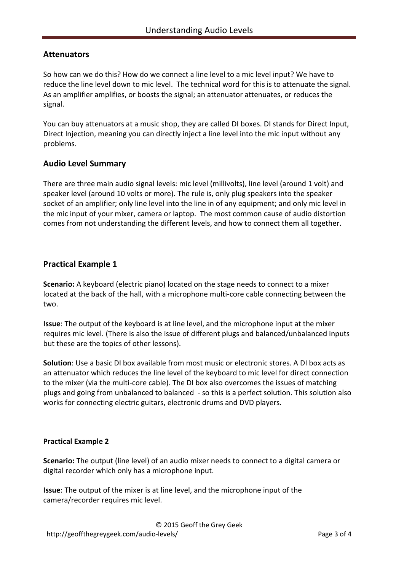### **Attenuators**

So how can we do this? How do we connect a line level to a mic level input? We have to reduce the line level down to mic level. The technical word for this is to attenuate the signal. As an amplifier amplifies, or boosts the signal; an attenuator attenuates, or reduces the signal.

You can buy attenuators at a music shop, they are called DI boxes. DI stands for Direct Input, Direct Injection, meaning you can directly inject a line level into the mic input without any problems.

### **Audio Level Summary**

There are three main audio signal levels: mic level (millivolts), line level (around 1 volt) and speaker level (around 10 volts or more). The rule is, only plug speakers into the speaker socket of an amplifier; only line level into the line in of any equipment; and only mic level in the mic input of your mixer, camera or laptop. The most common cause of audio distortion comes from not understanding the different levels, and how to connect them all together.

### **Practical Example 1**

**Scenario:** A keyboard (electric piano) located on the stage needs to connect to a mixer located at the back of the hall, with a microphone multi-core cable connecting between the two.

**Issue**: The output of the keyboard is at line level, and the microphone input at the mixer requires mic level. (There is also the issue of different plugs and balanced/unbalanced inputs but these are the topics of other lessons).

**Solution**: Use a basic DI box available from most music or electronic stores. A DI box acts as an attenuator which reduces the line level of the keyboard to mic level for direct connection to the mixer (via the multi-core cable). The DI box also overcomes the issues of matching plugs and going from unbalanced to balanced - so this is a perfect solution. This solution also works for connecting electric guitars, electronic drums and DVD players.

#### **Practical Example 2**

**Scenario:** The output (line level) of an audio mixer needs to connect to a digital camera or digital recorder which only has a microphone input.

**Issue**: The output of the mixer is at line level, and the microphone input of the camera/recorder requires mic level.